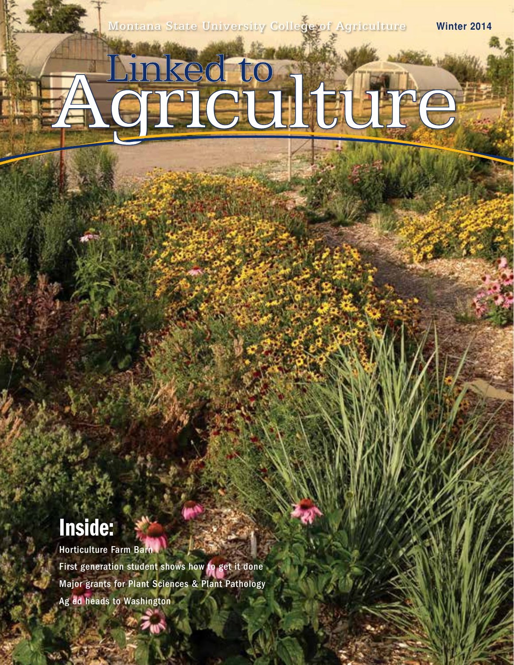Montana State University College of Agriculture **Winter 2014**

# A Griculture

# Inside:

Horticulture Farm Barn First generation student shows how to get it done Major grants for Plant Sciences & Plant Pathology Ag ed heads to Washington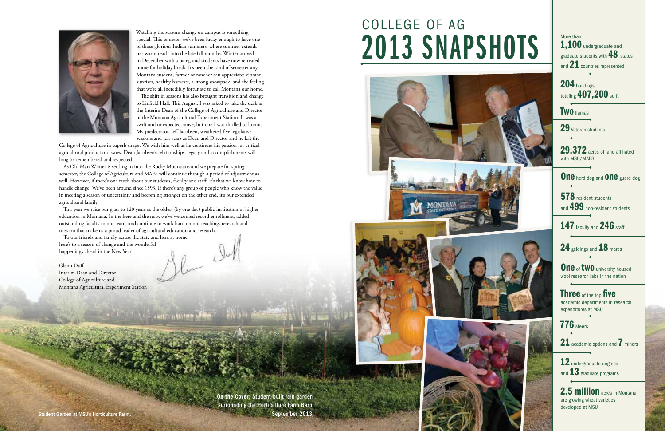



Watching the seasons change on campus is something special. This semester we've been lucky enough to have one of those glorious Indian summers, where summer extends her warm reach into the late fall months. Winter arrived in December with a bang, and students have now retreated home for holiday break. It's been the kind of semester any Montana student, farmer or rancher can appreciate: vibrant sunrises, healthy harvests, a strong snowpack, and the feeling that we're all incredibly fortunate to call Montana our home.

The shift in seasons has also brought transition and change to Linfield Hall. This August, I was asked to take the desk as the Interim Dean of the College of Agriculture and Director of the Montana Agricultural Experiment Station. It was a swift and unexpected move, but one I was thrilled to honor. My predecessor, Jeff Jacobsen, weathered five legislative sessions and ten years as Dean and Director and he left the

College of Agriculture in superb shape. We wish him well as he continues his passion for critical agricultural production issues. Dean Jacobsen's relationships, legacy and accomplishments will long be remembered and respected.

On the Cover: Student-built rain garden surrounding the Horticulture Farm Barn. Student Garden at MSU's Horticulture Farm. September 2013.











More than 1,100 undergraduate and graduate students with 48 states and 21 countries represented

204 buildings. totaling 407,200 sq ft

**Two** llamas

29 Veteran students

29,372 acres of land affiliated with MSU/MAES

One herd dog and **One** guard dog

578 resident students and 499 non-resident students

147 faculty and 246 staff

24 geldings and 18 mares

One of two university housed wool research labs in the nation

As Old Man Winter is settling in into the Rocky Mountains and we prepare for spring semester, the College of Agriculture and MAES will continue through a period of adjustment as well. However, if there's one truth about our students, faculty and staff, it's that we know how to handle change. We've been around since 1893. If there's any group of people who know the value in meeting a season of uncertainty and becoming stronger on the other end, it's our extended agricultural family.

> Three of the top five academic departments in research expenditures at MSU

**776** steers

21 academic options and 7 minors

12 undergraduate degrees and 13 graduate programs

2.5 million acres in Montana are growing wheat varieties developed at MSU

This year we raise our glass to 120 years as the oldest (by one day) public institution of higher education in Montana. In the here and the now, we've welcomed record enrollment, added outstanding faculty to our team, and continue to work hard on our teaching, research and mission that make us a proud leader of agricultural education and research.

**CONTRACTOR** 

To our friends and family across the state and here at home, here's to a season of change and the wonderful happenings ahead in the New Year.

Glenn Duff Interim Dean and Director College of Agriculture and Montana Agricultural Experiment Station

COLLEGE OF AG 2013 SNAPSHOTS



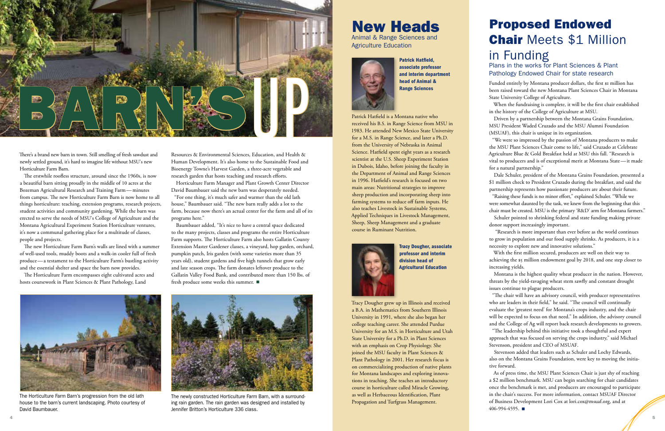

The Horticulture Farm Barn's progression from the old lath house to the barn's current landscaping. Photo courtesy of David Baumbauer.

There's a brand new barn in town. Still smelling of fresh sawdust and newly settled ground, it's hard to imagine life without MSU's new Horticulture Farm Barn.

The erstwhile roofless structure, around since the 1960s, is now a beautiful barn sitting proudly in the middle of 10 acres at the Bozeman Agricultural Research and Training Farm—minutes from campus. The new Horticulture Farm Barn is now home to all things horticulture: teaching, extension programs, research projects, student activities and community gardening. While the barn was erected to serve the needs of MSU's College of Agriculture and the Montana Agricultural Experiment Station Horticulture ventures, it's now a communal gathering place for a multitude of classes, people and projects.

The new Horticulture Farm Barn's walls are lined with a summer of well-used tools, muddy boots and a walk-in cooler full of fresh produce—a testament to the Horticulture Farm's bustling activity and the essential shelter and space the barn now provides.

The Horticulture Farm encompasses eight cultivated acres and hosts coursework in Plant Sciences & Plant Pathology, Land

Resources & Environmental Sciences, Education, and Health & Human Development. It's also home to the Sustainable Food and Bioenergy Towne's Harvest Garden, a three-acre vegetable and research garden that hosts teaching and research efforts.

Horticulture Farm Manager and Plant Growth Center Director David Baumbauer said the new barn was desperately needed. "For one thing, it's much safer and warmer than the old lath house," Baumbauer said. "The new barn really adds a lot to the farm, because now there's an actual center for the farm and all of its programs here."

Baumbauer added, "It's nice to have a central space dedicated to the many projects, classes and programs the entire Horticulture Farm supports. The Horticulture Farm also hosts Gallatin County Extension Master Gardener classes, a vineyard, hop garden, orchard, pumpkin patch, Iris garden (with some varieties more than 35 years old), student gardens and five high tunnels that grow early and late season crops. The farm donates leftover produce to the Gallatin Valley Food Bank, and contributed more than 150 lbs. of fresh produce some weeks this summer.

Funded entirely by Montana producer dollars, the first \$1 million has been raised toward the new Montana Plant Sciences Chair in Montana State University College of Agriculture.





The newly constructed Horticulture Farm Barn, with a surrounding rain garden. The rain garden was designed and installed by Jennifer Britton's Horticulture 336 class.

# New Heads

Animal & Range Sciences and Agriculture Education



Patrick Hatfield, associate professor and interim department head of Animal & Range Sciences

Patrick Hatfield is a Montana native who received his B.S. in Range Science from MSU in 1983. He attended New Mexico State University for a M.S. in Range Science, and later a Ph.D. from the University of Nebraska in Animal Science. Hatfield spent eight years as a research scientist at the U.S. Sheep Experiment Station in Dubois, Idaho, before joining the faculty in the Department of Animal and Range Sciences in 1996. Hatfield's research is focused on two main areas: Nutritional strategies to improve sheep production and incorporating sheep into farming systems to reduce off farm inputs. He also teaches Livestock in Sustainable Systems, Applied Techniques in Livestock Management, Sheep, Sheep Management and a graduate course in Ruminant Nutrition.



Tracy Dougher, associate professor and interim division head of Agricultural Education

Tracy Dougher grew up in Illinois and received a B.A. in Mathematics from Southern Illinois University in 1991, where she also began her college teaching career. She attended Purdue University for an M.S. in Horticulture and Utah State University for a Ph.D. in Plant Sciences with an emphasis on Crop Physiology. She joined the MSU faculty in Plant Sciences & Plant Pathology in 2001. Her research focus is on commercializing production of native plants for Montana landscapes and exploring innovations in teaching. She teaches an introductory course in horticulture called Miracle Growing, as well as Herbaceous Identification, Plant Propagation and Turfgrass Management.

# Proposed Endowed Chair Meets \$1 Million in Funding

### Plans in the works for Plant Sciences & Plant Pathology Endowed Chair for state research

When the fundraising is complete, it will be the first chair established in the history of the College of Agriculture at MSU.

Driven by a partnership between the Montana Grains Foundation, MSU President Waded Cruzado and the MSU Alumni Foundation (MSUAF), this chair is unique in its organization.

"We were so impressed by the passion of Montana producers to make the MSU Plant Sciences Chair come to life," said Cruzado at Celebrate Agriculture Blue & Gold Breakfast held at MSU this fall. "Research is vital to producers and is of exceptional merit at Montana State—it made for a natural partnership."

Dale Schuler, president of the Montana Grains Foundation, presented a \$1 million check to President Cruzado during the breakfast, and said the partnership represents how passionate producers are about their future.

"Raising these funds is no minor effort," explained Schuler. "While we were somewhat daunted by the task, we knew from the beginning that this chair must be created. MSU is the primary 'R&D' arm for Montana farmers."

Schuler pointed to shrinking federal and state funding making private donor support increasingly important.

 "Research is more important than ever before as the world continues to grow in population and our food supply shrinks. As producers, it is a necessity to explore new and innovative solutions."

With the first million secured, producers are well on their way to achieving the \$5 million endowment goal by 2018, and one step closer to increasing yields.

Montana is the highest quality wheat producer in the nation. However, threats by the yield-ravaging wheat stem sawfly and constant drought issues continue to plague producers.

"The chair will have an advisory council, with producer representatives who are leaders in their field," he said. "The council will continually evaluate the 'greatest need' for Montana's crops industry, and the chair will be expected to focus on that need." In addition, the advisory council and the College of Ag will report back research developments to growers.

"The leadership behind this initiative took a thoughtful and expert approach that was focused on serving the crops industry," said Michael Stevenson, president and CEO of MSUAF.

Stevenson added that leaders such as Schuler and Lochy Edwards, also on the Montana Grains Foundation, were key to moving the initiative forward.

As of press time, the MSU Plant Sciences Chair is just shy of reaching a \$2 million benchmark. MSU can begin searching for chair candidates once the benchmark is met, and producers are encouraged to participate in the chair's success. For more information, contact MSUAF Director of Business Development Lori Cox at lori.cox@msuaf.org, and at 406-994-4595.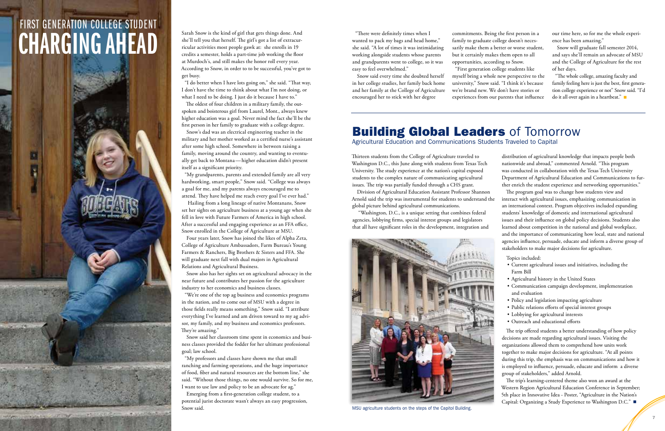# FIRST GENERATION COLLEGE STUDENT Sarah Snow is the kind of girl that gets things done. And<br>she'll tell you that herself. The girl's got a list of extracur-<br>ricular activities most people gawk at: she enrolls in 19<br>credits a semaster, helds a part time is

she'll tell you that herself. The girl's got a list of extracurricular activities most people gawk at: she enrolls in 19 credits a semester, holds a part-time job working the floor at Murdoch's, and still makes the honor roll every year. According to Snow, in order to to be successful, you've got to get busy.

"I do better when I have lots going on," she said. "That way, I don't have the time to think about what I'm not doing, or what I need to be doing. I just do it because I have to."

The oldest of four children in a military family, the outspoken and boisterous girl from Laurel, Mont., always knew higher education was a goal. Never mind the fact she'll be the first person in her family to graduate with a college degree.

Snow's dad was an electrical engineering teacher in the military and her mother worked as a certified nurse's assistant after some high school. Somewhere in between raising a family, moving around the country, and wanting to eventually get back to Montana—higher education didn't present itself as a significant priority.

"My grandparents, parents and extended family are all very hardworking, smart people," Snow said. "College was always a goal for me, and my parents always encouraged me to attend. They have helped me reach every goal I've ever had."

 Hailing from a long lineage of native Montanans, Snow set her sights on agriculture business at a young age when she fell in love with Future Farmers of America in high school. After a successful and engaging experience as an FFA office, Snow enrolled in the College of Agriculture at MSU.

Four years later, Snow has joined the likes of Alpha Zeta, College of Agriculture Ambassadors, Farm Bureau's Young Farmers & Ranchers, Big Brothers & Sisters and FFA. She will graduate next fall with dual majors in Agricultural Relations and Agricultural Business.

Snow also has her sights set on agricultural advocacy in the near future and contributes her passion for the agriculture industry to her economics and business classes.

### **Building Global Leaders of Tomorrow** Agricultural Education and Communications Students Traveled to Capital

"We're one of the top ag business and economics programs in the nation, and to come out of MSU with a degree in those fields really means something," Snow said. "I attribute everything I've learned and am driven toward to my ag advisor, my family, and my business and economics professors. They're amazing."

Snow said her classroom time spent in economics and business classes provided the fodder for her ultimate professional goal; law school.

"My professors and classes have shown me that small ranching and farming operations, and the huge importance of food, fiber and natural resources are the bottom line," she said. "Without those things, no one would survive. So for me, I want to use law and policy to be an advocate for ag."

Emerging from a first-generation college student, to a potential jurist doctorate wasn't always an easy progression, Snow said.

"There were definitely times when I wanted to pack my bags and head home," she said. "A lot of times it was intimidating working alongside students whose parents and grandparents went to college, so it was easy to feel overwhelmed."

Snow said every time she doubted herself in her college studies, her family back home and her family at the College of Agriculture encouraged her to stick with her degree

commitments. Being the first person in a family to graduate college doesn't necessarily make them a better or worse student, but it certainly makes them open to all opportunities, according to Snow. "First generation college students like

myself bring a whole new perspective to the university," Snow said. "I think it's because we're brand new. We don't have stories or experiences from our parents that influence our time here, so for me the whole experience has been amazing."

Snow will graduate fall semester 2014, and says she'll remain an advocate of MSU and the College of Agriculture for the rest of her days.

"The whole college, amazing faculty and family feeling here is just the best, first generation college experience or not" Snow said. "I'd do it all over again in a heartbeat."

Thirteen students from the College of Agriculture traveled to Washington D.C., this June along with students from Texas Tech University. The study experience at the nation's capital exposed students to the complex nature of communicating agricultural issues. The trip was partially funded through a CHS grant.

Division of Agricultural Education Assistant Professor Shannon Arnold said the trip was instrumental for students to understand the global picture behind agricultural communications.

 "Washington, D.C., is a unique setting that combines federal agencies, lobbying firms, special interest groups and legislators that all have significant roles in the development, integration and distribution of agricultural knowledge that impacts people both nationwide and abroad," commented Arnold. "This program was conducted in collaboration with the Texas Tech University Department of Agricultural Education and Communications to further enrich the student experience and networking opportunities."

The program goal was to change how students view and interact with agricultural issues, emphasizing communication in an international context. Program objectives included expanding students' knowledge of domestic and international agricultural issues and their influence on global policy decisions. Students also learned about competition in the national and global workplace, and the importance of communicating how local, state and national agencies influence, persuade, educate and inform a diverse group of stakeholders to make major decisions for agriculture.

Topics included:

- Current agricultural issues and initiatives, including the Farm Bill
- Agricultural history in the United States
- Communication campaign development, implementation and evaluation
- Policy and legislation impacting agriculture
- Public relations efforts of special interest groups
- Lobbying for agricultural interests
- Outreach and educational efforts

The trip offered students a better understanding of how policy decisions are made regarding agricultural issues. Visiting the organizations allowed them to comprehend how units work together to make major decisions for agriculture. "At all points during this trip, the emphasis was on communications and how it is employed to influence, persuade, educate and inform a diverse group of stakeholders," added Arnold.

The trip's learning-centered theme also won an award at the Western Region Agricultural Education Conference in September; 5th place in Innovative Idea - Poster, "Agriculture in the Nation's Capital: Organizing a Study Experience to Washington D.C."

 $\overline{6}$ 



MSU agriculture students on the steps of the Capitol Building.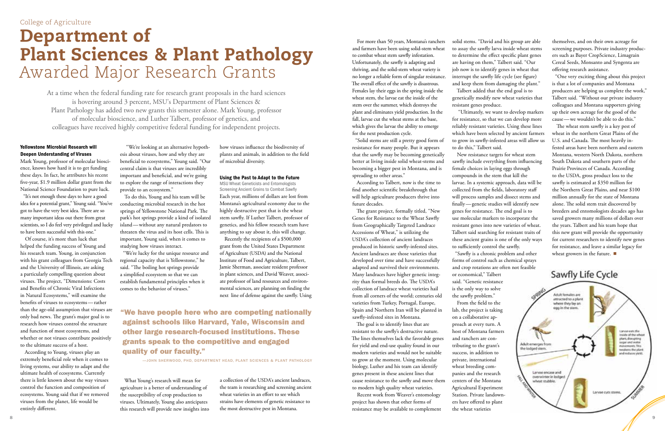### Yellowstone Microbial Research will Deepen Understanding of Viruses

Mark Young, professor of molecular bioscience, knows how hard it is to get funding these days. In fact, he attributes his recent five-year, \$1.9 million dollar grant from the National Science Foundation to pure luck.

"It's not enough these days to have a good idea for a potential grant," Young said. "You've got to have the very best idea. There are so many important ideas out there from great scientists, so I do feel very privileged and lucky to have been successful with this one."

Of course, it's more than luck that helped the funding success of Young and his research team. Young, in conjunction with his grant colleagues from Georgia Tech and the University of Illinois, are asking a particularly compelling question about viruses. The project, "Dimensions: Costs and Benefits of Chronic Viral Infections in Natural Ecosystems," will examine the benefits of viruses to ecosystems—rather than the age-old assumption that viruses are only bad news. The grant's major goal is to research how viruses control the structure and function of most ecosystems, and whether or not viruses contribute positively to the ultimate success of a host.

According to Young, viruses play an extremely beneficial role when it comes to living systems, our ability to adapt and the ultimate health of ecosystems. Currently there is little known about the way viruses control the function and composition of ecosystems. Young said that if we removed viruses from the planet, life would be entirely different.

 "We're looking at an alternative hypothesis about viruses, how and why they are beneficial to ecosystems," Young said. "Our central claim is that viruses are incredibly important and beneficial, and we're going to explore the range of interactions they provide to an ecosystem."

To do this, Young and his team will be conducting microbial research in the hot springs of Yellowstone National Park. The park's hot springs provide a kind of isolated island—without any natural predators to threaten the virus and its host cells. This is important, Young said, when it comes to studying how viruses interact.

"We're lucky for the unique resource and regional capacity that is Yellowstone," he said. "The boiling hot springs provide a simplified ecosystem so that we can establish fundamental principles when it comes to the behavior of viruses."

What Young's research will mean for agriculture is a better of understanding of the susceptibility of crop production to viruses. Ultimately, Young also anticipates this research will provide new insights into how viruses influence the biodiversity of plants and animals, in addition to the field of microbial diversity.

### Using the Past to Adapt to the Future

MSU Wheat Geneticists and Entomologists Screening Ancient Grains to Combat Sawfly Each year, millions of dollars are lost from Montana's agricultural economy due to the highly destructive pest that is the wheat stem sawfly. If Luther Talbert, professor of genetics, and his fellow research team have anything to say about it, this will change.

Recently the recipients of a \$500,000 grant from the United States Department of Agriculture (USDA) and the National Institute of Food and Agriculture, Talbert, Jamie Sherman, associate resident professor in plant sciences, and David Weaver, associate professor of land resources and environmental sciences, are planning on finding the next line of defense against the sawfly. Using

a collection of the USDA's ancient landraces, the team is researching and screening ancient wheat varieties in an effort to see which strains have elements of genetic resistance to the most destructive pest in Montana.

# Department of Plant Sciences & Plant Pathology Awarded Major Research Grants

"We have people here who are competing nationally against schools like Harvard, Yale, Wisconsin and other large research-focused institutions. These grants speak to the competitive and engaged quality of our faculty."

—JOHN SHERWOOD, PHD, DEPARTMENT HEAD, PLANT SCIENCES & PLANT PATHOLOGY

At a time when the federal funding rate for research grant proposals in the hard sciences is hovering around 3 percent, MSU's Department of Plant Sciences & Plant Pathology has added two new grants this semester alone. Mark Young, professor of molecular bioscience, and Luther Talbert, professor of genetics, and colleagues have received highly competitive federal funding for independent projects.

The wheat stem sawfly is a key pest of wheat in the northern Great Plains of the U.S. and Canada. The most heavily infested areas have been northern and eastern Montana, western North Dakota, northern South Dakota and southern parts of the Prairie Provinces of Canada. According to the USDA, gross product loss to the sawfly is estimated at \$350 million for the Northern Great Plains, and near \$100 million annually for the state of Montana alone. The solid stem trait discovered by breeders and entomologists decades ago has saved growers many millions of dollars over the years. Talbert and his team hope that this new grant will provide the opportunity for current researchers to identify new genes for resistance, and leave a similar legacy for wheat growers in the future.

Sawfly Life Cycle Adult females are attracted to a plant where they lay an egg in the stem. Lanvae ears the<br>Inside of the wheat plant, disrupting<br>sugar and water Adult emerges from novements.This<br>weakens the plant the lodged stem nd reduces yield. Lange encase and overwinter in lodged wheat stubble. Larvae cuts stress.

For more than 50 years, Montana's ranchers and farmers have been using solid-stem wheat to combat wheat stem sawfly infestation. Unfortunately, the sawfly is adapting and thriving, and the solid-stem wheat variety is no longer a reliable form of singular resistance. The overall effect of the sawfly is disastrous. Females lay their eggs in the spring inside the wheat stem, the larvae eat the inside of the stem over the summer, which destroys the plant and eliminates yield production. In the fall, larvae cut the wheat stems at the base, which gives the larvae the ability to emerge for the next production cycle.

"Solid stems are still a pretty good form of resistance for many people. But it appears that the sawfly may be becoming genetically better at living inside solid wheat-stems and becoming a bigger pest in Montana, and is spreading to other areas."

According to Talbert, now is the time to find another scientific breakthrough that will help agriculture producers thrive into future decades.

The grant project, formally titled, "New Genes for Resistance to the Wheat Sawfly from Geographically Targeted Landrace Accessions of Wheat," is utilizing the USDA's collection of ancient landraces produced in historic sawfly-infested sites. Ancient landraces are those varieties that developed over time and have successfully adapted and survived their environments. Many landraces have higher genetic integrity than formal breeds do. The USDA's collection of landrace wheat varieties hail from all corners of the world; centuries old varieties from Turkey, Portugal, Europe, Spain and Northern Iran will be planted in sawfly-infested sites in Montana.

The goal is to identify lines that are resistant to the sawfly's destructive nature. The lines themselves lack the favorable genes for yield and end-use quality found in our modern varieties and would not be suitable to grow at the moment. Using molecular biology, Luther and his team can identify genes present in these ancient lines that cause resistance to the sawfly and move them to modern high quality wheat varieties.

Recent work from Weaver's entomology project has shown that other forms of resistance may be available to complement solid stems. "David and his group are able to assay the sawfly larva inside wheat stems to determine the effect specific plant genes are having on them," Talbert said. "Our job now is to identify genes in wheat that interrupt the sawfly life cycle (see figure) and keep them from damaging the plant." Talbert added that the end goal is to genetically modify new wheat varieties that resistant genes produce.

 "Ultimately, we want to develop markers for resistance, so that we can develop more reliably resistant varieties. Using these lines which have been selected by ancient farmers to grow in sawfly-infested areas will allow us to do this," Talbert said.

New resistance targets for wheat stem sawfly include everything from influencing female choices in laying eggs through compounds in the stem that kill the larvae. In a systemic approach, data will be collected from the fields, laboratory staff will process samples and dissect stems and finally—genetic studies will identify new genes for resistance. The end goal is to use molecular markers to incorporate the resistant genes into new varieties of wheat. Talbert said searching for resistant traits of these ancient grains is one of the only ways to sufficiently control the sawfly. "Sawfly is a chronic problem and other

forms of control such as chemical sprays and crop rotations are often not feasible

or economical," Talbert said. "Genetic resistance is the only way to solve the sawfly problem." From the field to the

lab, the project is taking on a collaborative approach at every turn. A host of Montana farmers and ranchers are contributing to the grant's success, in addition to private, international wheat breeding companies and the research centers of the Montana Agricultural Experiment Station. Private landowners have offered to plant the wheat varieties

themselves, and on their own acreage for screening purposes. Private industry producers such as Bayer CropScience, Limagrain Cereal Seeds, Monsanto and Syngenta are offering research assistance.

"One very exciting thing about this project is that a lot of companies and Montana producers are helping us complete the work," Talbert said. "Without our private industry colleagues and Montana supporters giving up their own acreage for the good of the cause—we wouldn't be able to do this."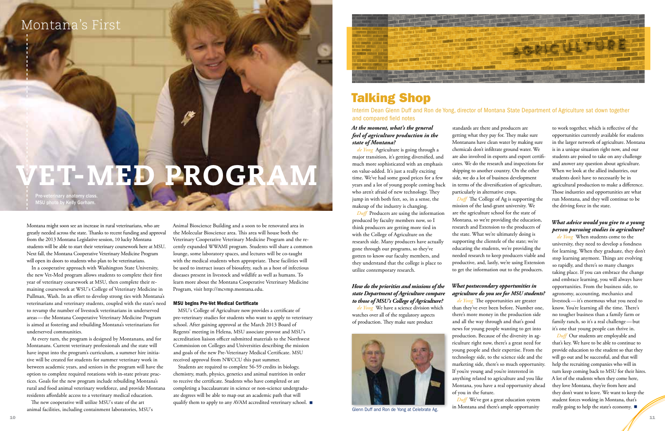Montana might soon see an increase in rural veterinarians, who are greatly needed across the state. Thanks to recent funding and approval from the 2013 Montana Legislative session, 10 lucky Montana students will be able to start their veterinary coursework here at MSU. Next fall, the Montana Cooperative Veterinary Medicine Program will open its doors to students who plan to be veterinarians.

In a cooperative approach with Washington State University, the new Vet-Med program allows students to complete their first year of veterinary coursework at MSU, then complete their remaining coursework at WSU's College of Veterinary Medicine in Pullman, Wash. In an effort to develop strong ties with Montana's veterinarians and veterinary students, coupled with the state's need to revamp the number of livestock veterinarians in underserved areas—the Montana Cooperative Veterinary Medicine Program is aimed at fostering and rebuilding Montana's veterinarians for underserved communities.

At every turn, the program is designed by Montanans, and for Montanans. Current veterinary professionals and the state will have input into the program's curriculum, a summer hire initiative will be created for students for summer veterinary work in between academic years, and seniors in the program will have the option to complete required rotations with in-state private practices. Goals for the new program include rebuilding Montana's rural and food animal veterinary workforce, and provide Montana residents affordable access to a veterinary medical education.

Students are required to complete 56-59 credits in biology, chemistry, math, physics, genetics and animal nutrition in order to receive the certificate. Students who have completed or are completing a baccalaureate in science or non‐science undergraduate degrees will be able to map out an academic path that will qualify them to apply to any AVAM accredited veterinary school.



The new cooperative will utilize MSU's state of the art animal facilities, including containment laboratories, MSU's Animal Bioscience Building and a soon to be renovated area in the Molecular Bioscience area. This area will house both the Veterinary Cooperative Veterinary Medicine Program and the recently expanded WWAMI program. Students will share a common lounge, some laboratory spaces, and lectures will be co-taught with the medical students when appropriate. These facilities will be used to instruct issues of biosafety, such as a host of infectious diseases present in livestock and wildlife as well as humans. To learn more about the Montana Cooperative Veterinary Medicine Program, visit http://mcvmp.montana.edu.

### MSU begins Pre-Vet Medical Certificate

MSU's College of Agriculture now provides a certificate of pre-veterinary studies for students who want to apply to veterinary school. After gaining approval at the March 2013 Board of Regents' meeting in Helena, MSU associate provost and MSU's accreditation liaison officer submitted materials to the Northwest Commission on Colleges and Universities describing the mission and goals of the new Pre-Veterinary Medical Certificate. MSU received approval from NWCCU this past summer.

*Duff* The College of Ag is supporting the mission of the land-grant university. We are the agriculture school for the state of Montana, so we're providing the education, research and Extension to the producers of the state. What we're ultimately doing is supporting the clientele of the state; we're educating the students, we're providing the needed research to keep producers viable and productive, and, lastly, we're using Extension to get the information out to the producers.

## Montana's First

# VET-MED PROGR

# Talking Shop

Interim Dean Glenn Duff and Ron de Yong, director of Montana State Department of Agriculture sat down together and compared field notes

### *At the moment, what's the general feel of agriculture production in the state of Montana?*

*de Yong* Agriculture is going through a major transition, it's getting diversified, and much more sophisticated with an emphasis on value-added. It's just a really exciting time. We've had some good prices for a few years and a lot of young people coming back who aren't afraid of new technology. They jump in with both feet, so, in a sense, the makeup of the industry is changing.

> *Duff* Our students are employable and that's key. We have to be able to continue to provide education to the student so that they will go out and be successful, and that will help the recruiting companies who will in turn keep coming back to MSU for their hires. A lot of the students when they come here, they love Montana, they're from here and they don't want to leave. We want to keep the student forces working in Montana, that's really going to help the state's economy. ■

*Duff* Producers are using the information produced by faculty members now, so I think producers are getting more tied in with the College of Agriculture on the research side. Many producers have actually gone through our programs, so they've gotten to know our faculty members, and they understand that the college is place to utilize contemporary research.

### *How do the priorities and missions of the state Department of Agriculture compare to those of MSU's College of Agriculture?*

*de Yong* We have a science division which watches over all of the regulatory aspects of production. They make sure product

standards are there and producers are getting what they pay for. They make sure Montanans have clean water by making sure chemicals don't infiltrate ground water. We are also involved in exports and export certificates. We do the research and inspections for shipping to another country. On the other side, we do a lot of business development in terms of the diversification of agriculture, particularly in alternative crops.

### *What postsecondary opportunities in agriculture do you see for MSU students?*

*de Yong* The opportunities are greater than they've ever been before. Number one, there's more money in the production side and all the way through and that's good news for young people wanting to get into production. Because of the diversity in agriculture right now, there's a great need for young people and their expertise. From the technology side, to the science side and the marketing side, there's so much opportunity. If you're young and you're interested in anything related to agriculture and you like Montana, you have a real opportunity ahead of you in the future. *Duff* We've got a great education system

in Montana and there's ample opportunity

to work together, which is reflective of the opportunities currently available for students in the larger network of agriculture. Montana is in a unique situation right now, and our students are poised to take on any challenge and answer any question about agriculture. When we look at the allied industries, our students don't have to necessarily be in agricultural production to make a difference. Those industries and opportunities are what run Montana, and they will continue to be the driving force in the state.

### *What advice would you give to a young person pursuing studies in agriculture?*

*de Yong* When students come to the university, they need to develop a fondness for learning. When they graduate, they don't stop learning anymore. Things are evolving so rapidly, and there's so many changes taking place. If you can embrace the change and embrace learning, you will always have opportunities. From the business side, to agronomy, accounting, mechanics and livestock—it's enormous what you need to know. You're learning all the time. There's no tougher business than a family farm or family ranch, so it's a real challenge—but it's one that young people can thrive in.

Pre-veterinary anatomy class. MSU photo by Kelly Gorham.



Glenn Duff and Ron de Yong at Celebrate Ag.